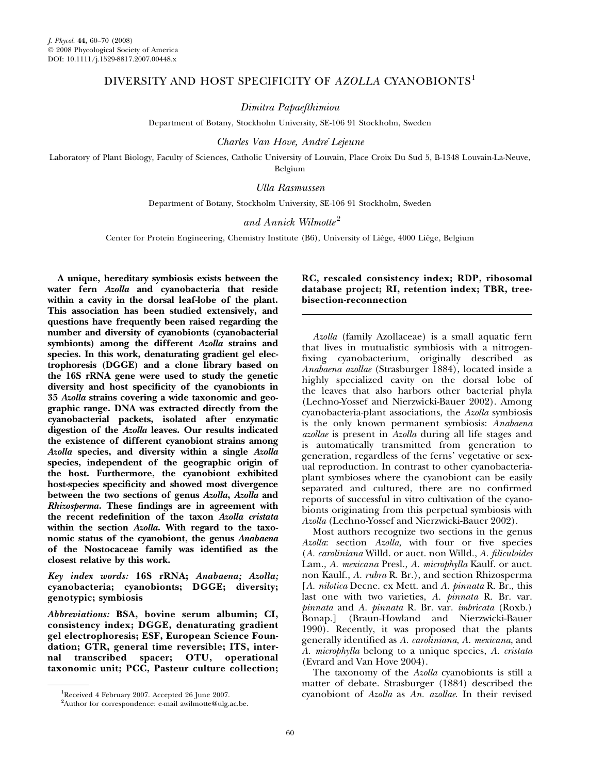# DIVERSITY AND HOST SPECIFICITY OF AZOLLA CYANOBIONTS<sup>1</sup>

Dimitra Papaefthimiou

Department of Botany, Stockholm University, SE-106 91 Stockholm, Sweden

Charles Van Hove, Andre´ Lejeune

Laboratory of Plant Biology, Faculty of Sciences, Catholic University of Louvain, Place Croix Du Sud 5, B-1348 Louvain-La-Neuve, Belgium

Ulla Rasmussen

Department of Botany, Stockholm University, SE-106 91 Stockholm, Sweden

## and Annick Wilmotte<sup>2</sup>

Center for Protein Engineering, Chemistry Institute (B6), University of Liége, 4000 Liége, Belgium

A unique, hereditary symbiosis exists between the water fern Azolla and cyanobacteria that reside within a cavity in the dorsal leaf-lobe of the plant. This association has been studied extensively, and questions have frequently been raised regarding the number and diversity of cyanobionts (cyanobacterial symbionts) among the different Azolla strains and species. In this work, denaturating gradient gel electrophoresis (DGGE) and a clone library based on the 16S rRNA gene were used to study the genetic diversity and host specificity of the cyanobionts in 35 Azolla strains covering a wide taxonomic and geographic range. DNA was extracted directly from the cyanobacterial packets, isolated after enzymatic digestion of the Azolla leaves. Our results indicated the existence of different cyanobiont strains among Azolla species, and diversity within a single Azolla species, independent of the geographic origin of the host. Furthermore, the cyanobiont exhibited host-species specificity and showed most divergence between the two sections of genus Azolla, Azolla and Rhizosperma. These findings are in agreement with the recent redefinition of the taxon Azolla cristata within the section Azolla. With regard to the taxonomic status of the cyanobiont, the genus Anabaena of the Nostocaceae family was identified as the closest relative by this work.

Key index words: 16S rRNA; Anabaena; Azolla; cyanobacteria; cyanobionts; DGGE; diversity; genotypic; symbiosis

Abbreviations: BSA, bovine serum albumin; CI, consistency index; DGGE, denaturating gradient gel electrophoresis; ESF, European Science Foundation; GTR, general time reversible; ITS, internal transcribed spacer; OTU, operational taxonomic unit; PCC, Pasteur culture collection;

RC, rescaled consistency index; RDP, ribosomal database project; RI, retention index; TBR, treebisection-reconnection

Azolla (family Azollaceae) is a small aquatic fern that lives in mutualistic symbiosis with a nitrogenfixing cyanobacterium, originally described as Anabaena azollae (Strasburger 1884), located inside a highly specialized cavity on the dorsal lobe of the leaves that also harbors other bacterial phyla (Lechno-Yossef and Nierzwicki-Bauer 2002). Among cyanobacteria-plant associations, the Azolla symbiosis is the only known permanent symbiosis: Anabaena azollae is present in Azolla during all life stages and is automatically transmitted from generation to generation, regardless of the ferns' vegetative or sexual reproduction. In contrast to other cyanobacteriaplant symbioses where the cyanobiont can be easily separated and cultured, there are no confirmed reports of successful in vitro cultivation of the cyanobionts originating from this perpetual symbiosis with Azolla (Lechno-Yossef and Nierzwicki-Bauer 2002).

Most authors recognize two sections in the genus Azolla: section Azolla, with four or five species (A. caroliniana Willd. or auct. non Willd., A. filiculoides Lam., A. mexicana Presl., A. microphylla Kaulf. or auct. non Kaulf., A. rubra R. Br.), and section Rhizosperma [A. nilotica Decne. ex Mett. and A. pinnata R. Br., this last one with two varieties, A. pinnata R. Br. var. pinnata and A. pinnata R. Br. var. imbricata (Roxb.) Bonap.] (Braun-Howland and Nierzwicki-Bauer 1990). Recently, it was proposed that the plants generally identified as A. caroliniana, A. mexicana, and A. microphylla belong to a unique species, A. cristata (Evrard and Van Hove 2004).

The taxonomy of the Azolla cyanobionts is still a matter of debate. Strasburger (1884) described the cyanobiont of Azolla as An. azollae. In their revised

Received 4 February 2007. Accepted 26 June 2007.

<sup>&</sup>lt;sup>2</sup>Author for correspondence: e-mail awilmotte@ulg.ac.be.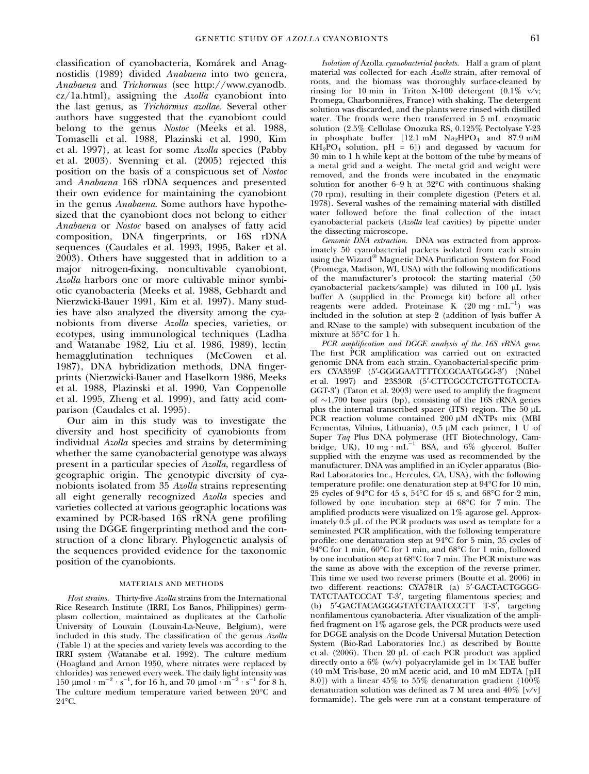classification of cyanobacteria, Komárek and Anagnostidis (1989) divided Anabaena into two genera, Anabaena and Trichormus (see http://www.cyanodb.  $cz/1a.html$ , assigning the Azolla cyanobiont into the last genus, as Trichormus azollae. Several other authors have suggested that the cyanobiont could belong to the genus Nostoc (Meeks et al. 1988, Tomaselli et al. 1988, Plazinski et al. 1990, Kim et al. 1997), at least for some Azolla species (Pabby et al. 2003). Svenning et al. (2005) rejected this position on the basis of a conspicuous set of Nostoc and Anabaena 16S rDNA sequences and presented their own evidence for maintaining the cyanobiont in the genus Anabaena. Some authors have hypothesized that the cyanobiont does not belong to either Anabaena or Nostoc based on analyses of fatty acid composition, DNA fingerprints, or 16S rDNA sequences (Caudales et al. 1993, 1995, Baker et al. 2003). Others have suggested that in addition to a major nitrogen-fixing, noncultivable cyanobiont, Azolla harbors one or more cultivable minor symbiotic cyanobacteria (Meeks et al. 1988, Gebhardt and Nierzwicki-Bauer 1991, Kim et al. 1997). Many studies have also analyzed the diversity among the cyanobionts from diverse Azolla species, varieties, or ecotypes, using immunological techniques (Ladha and Watanabe 1982, Liu et al. 1986, 1989), lectin hemagglutination techniques (McCowen et al. 1987), DNA hybridization methods, DNA fingerprints (Nierzwicki-Bauer and Haselkorn 1986, Meeks et al. 1988, Plazinski et al. 1990, Van Coppenolle et al. 1995, Zheng et al. 1999), and fatty acid comparison (Caudales et al. 1995).

Our aim in this study was to investigate the diversity and host specificity of cyanobionts from individual Azolla species and strains by determining whether the same cyanobacterial genotype was always present in a particular species of Azolla, regardless of geographic origin. The genotypic diversity of cyanobionts isolated from 35 Azolla strains representing all eight generally recognized Azolla species and varieties collected at various geographic locations was examined by PCR-based 16S rRNA gene profiling using the DGGE fingerprinting method and the construction of a clone library. Phylogenetic analysis of the sequences provided evidence for the taxonomic position of the cyanobionts.

#### MATERIALS AND METHODS

Host strains. Thirty-five Azolla strains from the International Rice Research Institute (IRRI, Los Banos, Philippines) germplasm collection, maintained as duplicates at the Catholic University of Louvain (Louvain-La-Neuve, Belgium), were included in this study. The classification of the genus Azolla (Table 1) at the species and variety levels was according to the IRRI system (Watanabe et al. 1992). The culture medium (Hoagland and Arnon 1950, where nitrates were replaced by chlorides) was renewed every week. The daily light intensity was 150 μmol · m<sup>-2</sup> · s<sup>-1</sup>, for 16 h, and 70 μmol · m<sup>-2</sup> · s<sup>-1</sup> for 8 h. The culture medium temperature varied between 20°C and  $24^{\circ}$ C.

Isolation of Azolla cyanobacterial packets. Half a gram of plant material was collected for each Azolla strain, after removal of roots, and the biomass was thoroughly surface-cleaned by rinsing for 10 min in Triton X-100 detergent  $(0.1\% \text{ v/v};$ Promega, Charbonnières, France) with shaking. The detergent solution was discarded, and the plants were rinsed with distilled water. The fronds were then transferred in 5 mL enzymatic solution (2.5% Cellulase Onozuka RS, 0.125% Pectolyase Y-23 in phosphate buffer [12.1 mM  $Na<sub>2</sub>HPO<sub>4</sub>$  and 87.9 mM  $KH<sub>2</sub>PO<sub>4</sub>$  solution, pH = 6]) and degassed by vacuum for 30 min to 1 h while kept at the bottom of the tube by means of a metal grid and a weight. The metal grid and weight were removed, and the fronds were incubated in the enzymatic solution for another 6–9 h at  $32^{\circ}$ C with continuous shaking (70 rpm), resulting in their complete digestion (Peters et al. 1978). Several washes of the remaining material with distilled water followed before the final collection of the intact cyanobacterial packets (Azolla leaf cavities) by pipette under the dissecting microscope.

Genomic DNA extraction. DNA was extracted from approximately 50 cyanobacterial packets isolated from each strain using the Wizard<sup>®</sup> Magnetic DNA Purification System for Food (Promega, Madison, WI, USA) with the following modifications of the manufacturer's protocol: the starting material (50 cyanobacterial packets/sample) was diluted in 100 µL lysis buffer A (supplied in the Promega kit) before all other reagents were added. Proteinase K  $(20 \text{ mg} \cdot \text{mL}^{-1})$  was included in the solution at step 2 (addition of lysis buffer A and RNase to the sample) with subsequent incubation of the mixture at  $55^{\circ}$ C for 1 h.

PCR amplification and DGGE analysis of the 16S rRNA gene. The first PCR amplification was carried out on extracted genomic DNA from each strain. Cyanobacterial-specific primers CYA359F (5'-GGGGAATTTTCCGCAATGGG-3') (Nübel et al. 1997) and 23S30R (5¢-CTTCGCCTCTGTTGTCCTA-GGT-3<sup>'</sup>) (Taton et al. 2003) were used to amplify the fragment of  $\sim$ 1,700 base pairs (bp), consisting of the 16S rRNA genes plus the internal transcribed spacer (ITS) region. The 50  $\mu$ L PCR reaction volume contained 200 µM dNTPs mix (MBI Fermentas, Vilnius, Lithuania),  $0.5 \mu M$  each primer, 1 U of Super Taq Plus DNA polymerase (HT Biotechnology, Cambridge, UK),  $10 \text{ mg} \cdot \text{mL}^{-1}$  BSA, and 6% glycerol. Buffer supplied with the enzyme was used as recommended by the manufacturer. DNA was amplified in an iCycler apparatus (Bio-Rad Laboratories Inc., Hercules, CA, USA), with the following temperature profile: one denaturation step at  $94^{\circ}$ C for 10 min, 25 cycles of  $94^{\circ}$ C for 45 s, 54 $^{\circ}$ C for 45 s, and 68 $^{\circ}$ C for 2 min, followed by one incubation step at  $68^{\circ}$ C for 7 min. The amplified products were visualized on 1% agarose gel. Approximately  $0.\overline{5}$  µL of the PCR products was used as template for a seminested PCR amplification, with the following temperature profile: one denaturation step at 94°C for 5 min, 35 cycles of  $94^{\circ}$ C for 1 min,  $60^{\circ}$ C for 1 min, and  $68^{\circ}$ C for 1 min, followed by one incubation step at  $68^{\circ}$ C for 7 min. The PCR mixture was the same as above with the exception of the reverse primer. This time we used two reverse primers (Boutte et al. 2006) in two different reactions: CYA781R (a) 5'-GACTACTGGGG-TATCTAATCCCAT T-3', targeting filamentous species; and (b) 5'-GACTACAGGGGTATCTAATCCCTT T-3', targeting nonfilamentous cyanobacteria. After visualization of the amplified fragment on 1% agarose gels, the PCR products were used for DGGE analysis on the Dcode Universal Mutation Detection System (Bio-Rad Laboratories Inc.) as described by Boutte et al.  $(2006)$ . Then 20 µL of each PCR product was applied directly onto a  $6\%$  (w/v) polyacrylamide gel in  $1\times$  TAE buffer (40 mM Tris-base, 20 mM acetic acid, and 10 mM EDTA [pH 8.0]) with a linear 45% to 55% denaturation gradient  $(100\%$ denaturation solution was defined as 7 M urea and  $40\%$  [v/v] formamide). The gels were run at a constant temperature of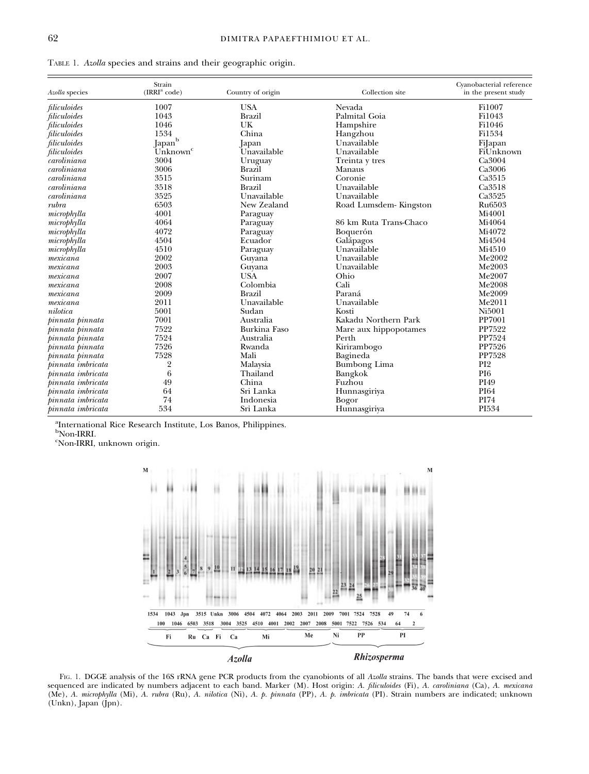|  |  |  | TABLE 1. Azolla species and strains and their geographic origin. |  |  |  |  |  |  |
|--|--|--|------------------------------------------------------------------|--|--|--|--|--|--|
|--|--|--|------------------------------------------------------------------|--|--|--|--|--|--|

| Azolla species    | Strain<br>$\rm (IRRI^a~code)$ | Country of origin | Collection site        | Cyanobacterial reference<br>in the present study |  |  |
|-------------------|-------------------------------|-------------------|------------------------|--------------------------------------------------|--|--|
| filiculoides      | 1007                          | <b>USA</b>        | Nevada                 | Fi1007                                           |  |  |
| filiculoides      | 1043                          | <b>Brazil</b>     | Palmital Goia          | Fi1043                                           |  |  |
| filiculoides      | 1046                          | <b>UK</b>         | Hampshire              | Fi1046                                           |  |  |
| filiculoides      | 1534                          | China             | Hangzhou               | Fi1534                                           |  |  |
| filiculoides      | $\,$ Japan $^{\rm b}$         | Japan             | Unavailable            | FiJapan                                          |  |  |
| filiculoides      | Unknown <sup>c</sup>          | Unavailable       | Unavailable            | FiUnknown                                        |  |  |
| caroliniana       | 3004                          | Uruguay           | Treinta y tres         | Ca3004                                           |  |  |
| caroliniana       | 3006                          | <b>Brazil</b>     | Manaus                 | Ca3006                                           |  |  |
| caroliniana       | 3515                          | Surinam           | Coronie                | Ca3515                                           |  |  |
| caroliniana       | 3518                          | <b>Brazil</b>     | Unavailable            | Ca3518                                           |  |  |
| caroliniana       | 3525                          | Unavailable       | Unavailable            | Ca3525                                           |  |  |
| rubra             | 6503                          | New Zealand       | Road Lumsdem-Kingston  | Ru <sub>6503</sub>                               |  |  |
| microphylla       | 4001                          | Paraguay          |                        | Mi4001                                           |  |  |
| microphylla       | 4064                          | Paraguay          | 86 km Ruta Trans-Chaco | Mi4064                                           |  |  |
| microphylla       | 4072                          | Paraguay          | Boquerón               | Mi4072                                           |  |  |
| microphylla       | 4504                          | Ecuador           | Galápagos              | Mi4504                                           |  |  |
| microphylla       | 4510                          | Paraguay          | Unavailable            | Mi4510                                           |  |  |
| mexicana          | 2002                          | Guyana            | Unavailable            | Me2002                                           |  |  |
| mexicana          | 2003                          | Guyana            | Unavailable            | Me2003                                           |  |  |
| mexicana          | 2007                          | <b>USA</b>        | Ohio                   | Me2007                                           |  |  |
| mexicana          | 2008                          | Colombia          | Cali                   | Me2008                                           |  |  |
| mexicana          | 2009                          | <b>Brazil</b>     | Paraná                 | Me2009                                           |  |  |
| mexicana          | 2011                          | Unavailable       | Unavailable            | Me2011                                           |  |  |
| nilotica          | 5001                          | Sudan             | Kosti                  | Ni5001                                           |  |  |
| pinnata pinnata   | 7001                          | Australia         | Kakadu Northern Park   | PP7001                                           |  |  |
| pinnata pinnata   | 7522                          | Burkina Faso      | Mare aux hippopotames  | PP7522                                           |  |  |
| pinnata pinnata   | 7524                          | Australia         | Perth                  | PP7524                                           |  |  |
| pinnata pinnata   | 7526                          | Rwanda            | Kirirambogo            | PP7526                                           |  |  |
| pinnata pinnata   | 7528                          | Mali              | Bagineda               | <b>PP7528</b>                                    |  |  |
| pinnata imbricata | 2                             | Malaysia          | <b>Bumbong Lima</b>    | PI <sub>2</sub>                                  |  |  |
| pinnata imbricata | 6                             | Thailand          | Bangkok                | PI <sub>6</sub>                                  |  |  |
| pinnata imbricata | 49                            | China             | Fuzhou                 | PI49                                             |  |  |
| pinnata imbricata | 64                            | Sri Lanka         | Hunnasgiriya           | <b>PI64</b>                                      |  |  |
| pinnata imbricata | 74                            | Indonesia         | <b>Bogor</b>           | PI74                                             |  |  |
| pinnata imbricata | 534                           | Sri Lanka         | Hunnasgiriya           | PI534                                            |  |  |

a International Rice Research Institute, Los Banos, Philippines. b Non-IRRI.

c Non-IRRI, unknown origin.



FIG. 1. DGGE analysis of the 16S rRNA gene PCR products from the cyanobionts of all Azolla strains. The bands that were excised and sequenced are indicated by numbers adjacent to each band. Marker (M). Host origin: A. filiculoides (Fi), A. caroliniana (Ca), A. mexicana (Me), A. microphylla (Mi), A. rubra (Ru), A. nilotica (Ni), A. p. pinnata (PP), A. p. imbricata (PI). Strain numbers are indicated; unknown (Unkn), Japan (Jpn).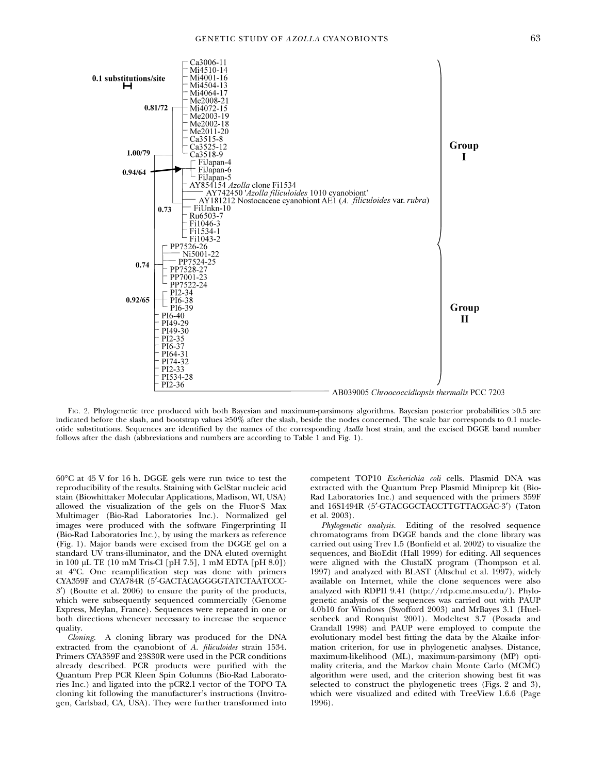

Fig. 2. Phylogenetic tree produced with both Bayesian and maximum-parsimony algorithms. Bayesian posterior probabilities >0.5 are indicated before the slash, and bootstrap values  $\geq 50\%$  after the slash, beside the nodes concerned. The scale bar corresponds to 0.1 nucleotide substitutions. Sequences are identified by the names of the corresponding Azolla host strain, and the excised DGGE band number follows after the dash (abbreviations and numbers are according to Table 1 and Fig. 1).

 $60^{\circ}$ C at  $45$  V for 16 h. DGGE gels were run twice to test the reproducibility of the results. Staining with GelStar nucleic acid stain (Biowhittaker Molecular Applications, Madison, WI, USA) allowed the visualization of the gels on the Fluor-S Max Multimager (Bio-Rad Laboratories Inc.). Normalized gel images were produced with the software Fingerprinting II (Bio-Rad Laboratories Inc.), by using the markers as reference (Fig. 1). Major bands were excised from the DGGE gel on a standard UV trans-illuminator, and the DNA eluted overnight in 100 lL TE (10 mM Tris-Cl [pH 7.5], 1 mM EDTA [pH 8.0]) at 4C. One reamplification step was done with primers CYA359F and CYA784R (5¢-GACTACAGGGGTATCTAATCCC-3¢) (Boutte et al. 2006) to ensure the purity of the products, which were subsequently sequenced commercially (Genome Express, Meylan, France). Sequences were repeated in one or both directions whenever necessary to increase the sequence quality.

Cloning. A cloning library was produced for the DNA extracted from the cyanobiont of A. filiculoides strain 1534. Primers CYA359F and 23S30R were used in the PCR conditions already described. PCR products were purified with the Quantum Prep PCR Kleen Spin Columns (Bio-Rad Laboratories Inc.) and ligated into the pCR2.1 vector of the TOPO TA cloning kit following the manufacturer's instructions (Invitrogen, Carlsbad, CA, USA). They were further transformed into competent TOP10 Escherichia coli cells. Plasmid DNA was extracted with the Quantum Prep Plasmid Miniprep kit (Bio-Rad Laboratories Inc.) and sequenced with the primers 359F and 16S1494R (5'-GTACGGCTACCTTGTTACGAC-3') (Taton et al. 2003).

Phylogenetic analysis. Editing of the resolved sequence chromatograms from DGGE bands and the clone library was carried out using Trev 1.5 (Bonfield et al. 2002) to visualize the sequences, and BioEdit (Hall 1999) for editing. All sequences were aligned with the ClustalX program (Thompson et al. 1997) and analyzed with BLAST (Altschul et al. 1997), widely available on Internet, while the clone sequences were also analyzed with RDPII 9.41 (http://rdp.cme.msu.edu/). Phylogenetic analysis of the sequences was carried out with PAUP 4.0b10 for Windows (Swofford 2003) and MrBayes 3.1 (Huelsenbeck and Ronquist 2001). Modeltest 3.7 (Posada and Crandall 1998) and PAUP were employed to compute the evolutionary model best fitting the data by the Akaike information criterion, for use in phylogenetic analyses. Distance, maximum-likelihood (ML), maximum-parsimony (MP) optimality criteria, and the Markov chain Monte Carlo (MCMC) algorithm were used, and the criterion showing best fit was selected to construct the phylogenetic trees (Figs. 2 and 3), which were visualized and edited with TreeView 1.6.6 (Page 1996).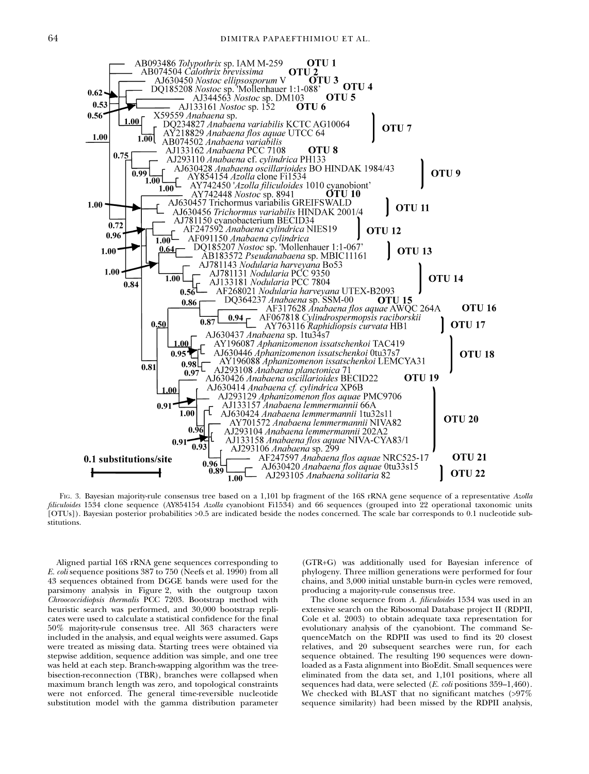

FIG. 3. Bayesian majority-rule consensus tree based on a 1,101 bp fragment of the 16S rRNA gene sequence of a representative Azolla filiculoides 1534 clone sequence (AY854154 Azolla cyanobiont Fi1534) and 66 sequences (grouped into 22 operational taxonomic units [OTUs]). Bayesian posterior probabilities >0.5 are indicated beside the nodes concerned. The scale bar corresponds to 0.1 nucleotide substitutions.

Aligned partial 16S rRNA gene sequences corresponding to E. coli sequence positions 387 to 750 (Neefs et al. 1990) from all 43 sequences obtained from DGGE bands were used for the parsimony analysis in Figure 2, with the outgroup taxon Chroococcidiopsis thermalis PCC 7203. Bootstrap method with heuristic search was performed, and 30,000 bootstrap replicates were used to calculate a statistical confidence for the final 50% majority-rule consensus tree. All 363 characters were included in the analysis, and equal weights were assumed. Gaps were treated as missing data. Starting trees were obtained via stepwise addition, sequence addition was simple, and one tree was held at each step. Branch-swapping algorithm was the treebisection-reconnection (TBR), branches were collapsed when maximum branch length was zero, and topological constraints were not enforced. The general time-reversible nucleotide substitution model with the gamma distribution parameter (GTR+G) was additionally used for Bayesian inference of phylogeny. Three million generations were performed for four chains, and 3,000 initial unstable burn-in cycles were removed, producing a majority-rule consensus tree.

The clone sequence from A. filiculoides 1534 was used in an extensive search on the Ribosomal Database project II (RDPII, Cole et al. 2003) to obtain adequate taxa representation for evolutionary analysis of the cyanobiont. The command SequenceMatch on the RDPII was used to find its 20 closest relatives, and 20 subsequent searches were run, for each sequence obtained. The resulting 190 sequences were downloaded as a Fasta alignment into BioEdit. Small sequences were eliminated from the data set, and 1,101 positions, where all sequences had data, were selected (E. coli positions 359–1,460). We checked with BLAST that no significant matches (>97% sequence similarity) had been missed by the RDPII analysis,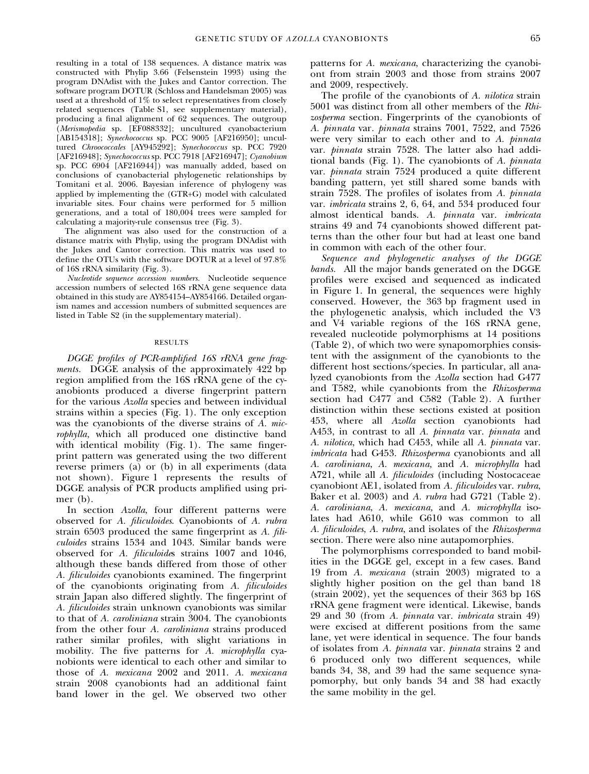resulting in a total of 138 sequences. A distance matrix was constructed with Phylip 3.66 (Felsenstein 1993) using the program DNAdist with the Jukes and Cantor correction. The software program DOTUR (Schloss and Handelsman 2005) was used at a threshold of 1% to select representatives from closely related sequences (Table S1, see supplementary material), producing a final alignment of 62 sequences. The outgroup (Merismopedia sp. [EF088332]; uncultured cyanobacterium [AB154318]; Synechococcus sp. PCC 9005 [AF216950]; uncultured *Chroococcales* [AY945292]; Synechococcus sp. PCC 7920 [AF216948]; Synechococcus sp. PCC 7918 [AF216947]; Cyanobium sp. PCC 6904 [AF216944]) was manually added, based on conclusions of cyanobacterial phylogenetic relationships by Tomitani et al. 2006. Bayesian inference of phylogeny was applied by implementing the (GTR+G) model with calculated invariable sites. Four chains were performed for 5 million generations, and a total of 180,004 trees were sampled for calculating a majority-rule consensus tree (Fig. 3).

The alignment was also used for the construction of a distance matrix with Phylip, using the program DNAdist with the Jukes and Cantor correction. This matrix was used to define the OTUs with the software DOTUR at a level of 97.8% of 16S rRNA similarity (Fig. 3).

Nucleotide sequence accession numbers. Nucleotide sequence accession numbers of selected 16S rRNA gene sequence data obtained in this study are AY854154–AY854166. Detailed organism names and accession numbers of submitted sequences are listed in Table S2 (in the supplementary material).

#### RESULTS

DGGE profiles of PCR-amplified 16S rRNA gene fragments. DGGE analysis of the approximately 422 bp region amplified from the 16S rRNA gene of the cyanobionts produced a diverse fingerprint pattern for the various Azolla species and between individual strains within a species (Fig. 1). The only exception was the cyanobionts of the diverse strains of A. microphylla, which all produced one distinctive band with identical mobility (Fig. 1). The same fingerprint pattern was generated using the two different reverse primers (a) or (b) in all experiments (data not shown). Figure 1 represents the results of DGGE analysis of PCR products amplified using primer (b).

In section Azolla, four different patterns were observed for A. filiculoides. Cyanobionts of A. rubra strain 6503 produced the same fingerprint as A. filiculoides strains 1534 and 1043. Similar bands were observed for A. *filiculoides* strains 1007 and 1046, although these bands differed from those of other A. filiculoides cyanobionts examined. The fingerprint of the cyanobionts originating from A. filiculoides strain Japan also differed slightly. The fingerprint of A. filiculoides strain unknown cyanobionts was similar to that of A. caroliniana strain 3004. The cyanobionts from the other four A. caroliniana strains produced rather similar profiles, with slight variations in mobility. The five patterns for A. microphylla cyanobionts were identical to each other and similar to those of A. mexicana 2002 and 2011. A. mexicana strain 2008 cyanobionts had an additional faint band lower in the gel. We observed two other patterns for A. mexicana, characterizing the cyanobiont from strain 2003 and those from strains 2007 and 2009, respectively.

The profile of the cyanobionts of A. *nilotica* strain 5001 was distinct from all other members of the Rhizosperma section. Fingerprints of the cyanobionts of A. pinnata var. pinnata strains 7001, 7522, and 7526 were very similar to each other and to A. pinnata var. pinnata strain 7528. The latter also had additional bands (Fig. 1). The cyanobionts of A. pinnata var. pinnata strain 7524 produced a quite different banding pattern, yet still shared some bands with strain 7528. The profiles of isolates from A. pinnata var. imbricata strains 2, 6, 64, and 534 produced four almost identical bands. A. pinnata var. imbricata strains 49 and 74 cyanobionts showed different patterns than the other four but had at least one band in common with each of the other four.

Sequence and phylogenetic analyses of the DGGE bands. All the major bands generated on the DGGE profiles were excised and sequenced as indicated in Figure 1. In general, the sequences were highly conserved. However, the 363 bp fragment used in the phylogenetic analysis, which included the V3 and V4 variable regions of the 16S rRNA gene, revealed nucleotide polymorphisms at 14 positions (Table 2), of which two were synapomorphies consistent with the assignment of the cyanobionts to the different host sections⁄species. In particular, all analyzed cyanobionts from the Azolla section had G477 and T582, while cyanobionts from the Rhizosperma section had C477 and C582 (Table 2). A further distinction within these sections existed at position 453, where all Azolla section cyanobionts had A453, in contrast to all A. pinnata var. pinnata and A. nilotica, which had C453, while all A. pinnata var. imbricata had G453. Rhizosperma cyanobionts and all A. caroliniana, A. mexicana, and A. microphylla had A721, while all A. *filiculoides* (including Nostocaceae cyanobiont AE1, isolated from A. filiculoides var. rubra, Baker et al. 2003) and A. rubra had G721 (Table 2). A. caroliniana, A. mexicana, and A. microphylla isolates had A610, while G610 was common to all A. filiculoides, A. rubra, and isolates of the Rhizosperma section. There were also nine autapomorphies.

The polymorphisms corresponded to band mobilities in the DGGE gel, except in a few cases. Band 19 from A. mexicana (strain 2003) migrated to a slightly higher position on the gel than band 18 (strain 2002), yet the sequences of their 363 bp 16S rRNA gene fragment were identical. Likewise, bands 29 and 30 (from A. pinnata var. imbricata strain 49) were excised at different positions from the same lane, yet were identical in sequence. The four bands of isolates from A. pinnata var. pinnata strains 2 and 6 produced only two different sequences, while bands 34, 38, and 39 had the same sequence synapomorphy, but only bands 34 and 38 had exactly the same mobility in the gel.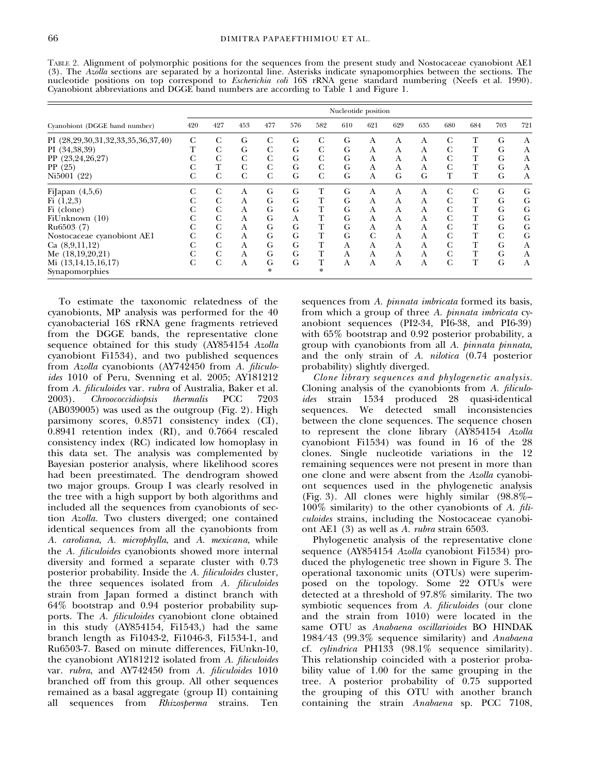| nucleotide positions on top correspond to <i>Escherichia coli</i> 16S FRNA gene standard numbering (Neefs et al. 1990).<br>Cyanobiont abbreviations and DGGE band numbers are according to Table 1 and Figure 1. |                     |     |     |             |     |     |     |     |     |     |     |     |     |     |
|------------------------------------------------------------------------------------------------------------------------------------------------------------------------------------------------------------------|---------------------|-----|-----|-------------|-----|-----|-----|-----|-----|-----|-----|-----|-----|-----|
|                                                                                                                                                                                                                  | Nucleotide position |     |     |             |     |     |     |     |     |     |     |     |     |     |
| Cyanobiont (DGGE band number)                                                                                                                                                                                    | 420                 | 427 | 453 | 477         | 576 | 582 | 610 | 621 | 629 | 635 | 680 | 684 | 703 | 721 |
| PI (28,29,30,31,32,33,35,36,37,40)                                                                                                                                                                               | C                   | C   | G   | C           | G   |     | G   | A   | A   | A   |     |     | G   | А   |
| PI (34,38,39)                                                                                                                                                                                                    | т                   | C   | G   | $\mathbf C$ | G   | C   | G   | A   | А   | A   | G   |     | G   | А   |
| PP (23,24,26,27)                                                                                                                                                                                                 |                     | C   | C   | $\mathbf C$ | G   | C   | G   | A   | A   | А   | C   |     | G   | А   |
| PP(25)                                                                                                                                                                                                           |                     | т   | C   | C           | G   | C   | G   | A   | A   | A   | C   |     | G   | А   |
| Ni5001 (22)                                                                                                                                                                                                      | C                   | C   | C   | C           | G   | C   | G   | A   | G   | G   | т   |     | G   | А   |
| FiJapan $(4,5,6)$                                                                                                                                                                                                |                     | C   | А   | G           | G   |     | G   | A   | A   | A   | C   | C   | G   | G   |
| Fi(1,2,3)                                                                                                                                                                                                        |                     | C   | А   | G           | G   |     | G   | A   | A   | A   |     |     | G   | G   |
| Fi (clone)                                                                                                                                                                                                       |                     | C   | Α   | G           | G   |     | G   | А   | A   | А   | C   |     | G   | G   |

FiUnknown (10) C C A G A T G A A A C T G G<br>
Ru6503 (7) C C A G G T G A A A C T G G<br>
Nostocaceae cyanobiont AE1 C C A G G T G C A A C T C G<br>
Ca (8.9.11.12) C C A G G T A A A A C T G A Ru6503 (7) C C A G G T G A A A C T G G Nostocaceae cyanobiont AE1 C C A G G T G C A A C T C G C (8.9.11.12) C C A G G T A A A A C T G A Ca (8,9,11,12) C C A G G T A A A A C T G A Me (18,19,20,21) C C A G G T A A A A C T G A

Table 2. Alignment of polymorphic positions for the sequences from the present study and Nostocaceae cyanobiont AE1 (3). The Azolla sections are separated by a horizontal line. Asterisks indicate synapomorphies between the sections. The nucleotide positions on top correspond to *Escherichia coli* 16S rRNA gene standard numbering (Neefs et al. 1990).

To estimate the taxonomic relatedness of the cyanobionts, MP analysis was performed for the 40 cyanobacterial 16S rRNA gene fragments retrieved from the DGGE bands, the representative clone sequence obtained for this study (AY854154 Azolla cyanobiont Fi1534), and two published sequences from Azolla cyanobionts (AY742450 from A. filiculoides 1010 of Peru, Svenning et al. 2005; AY181212 from A. filiculoides var. rubra of Australia, Baker et al. 2003). Chroococcidiopsis thermalis PCC 7203 (AB039005) was used as the outgroup (Fig. 2). High parsimony scores, 0.8571 consistency index (CI), 0.8941 retention index (RI), and 0.7664 rescaled consistency index (RC) indicated low homoplasy in this data set. The analysis was complemented by Bayesian posterior analysis, where likelihood scores had been preestimated. The dendrogram showed two major groups. Group I was clearly resolved in the tree with a high support by both algorithms and included all the sequences from cyanobionts of section Azolla. Two clusters diverged; one contained identical sequences from all the cyanobionts from A. caroliana, A. microphylla, and A. mexicana, while the A. filiculoides cyanobionts showed more internal diversity and formed a separate cluster with 0.73 posterior probability. Inside the A. filiculoides cluster, the three sequences isolated from A. filiculoides strain from Japan formed a distinct branch with 64% bootstrap and 0.94 posterior probability supports. The A. filiculoides cyanobiont clone obtained in this study (AY854154, Fi1543,) had the same branch length as Fi1043-2, Fi1046-3, Fi1534-1, and Ru6503-7. Based on minute differences, FiUnkn-10, the cyanobiont AY181212 isolated from A. filiculoides var. rubra, and AY742450 from A. filiculoides 1010 branched off from this group. All other sequences remained as a basal aggregate (group II) containing all sequences from Rhizosperma strains. Ten sequences from A. *pinnata imbricata* formed its basis, from which a group of three A. pinnata imbricata cyanobiont sequences (PI2-34, PI6-38, and PI6-39) with 65% bootstrap and 0.92 posterior probability, a group with cyanobionts from all A. pinnata pinnata, and the only strain of A. nilotica (0.74 posterior probability) slightly diverged.

Clone library sequences and phylogenetic analysis. Cloning analysis of the cyanobionts from A. filiculoides strain 1534 produced 28 quasi-identical sequences. We detected small inconsistencies between the clone sequences. The sequence chosen to represent the clone library (AY854154 Azolla cyanobiont Fi1534) was found in 16 of the 28 clones. Single nucleotide variations in the 12 remaining sequences were not present in more than one clone and were absent from the Azolla cyanobiont sequences used in the phylogenetic analysis (Fig. 3). All clones were highly similar (98.8%–  $100\%$  similarity) to the other cyanobionts of A. filiculoides strains, including the Nostocaceae cyanobiont AE1 (3) as well as A. rubra strain 6503.

Phylogenetic analysis of the representative clone sequence (AY854154 Azolla cyanobiont Fi1534) produced the phylogenetic tree shown in Figure 3. The operational taxonomic units (OTUs) were superimposed on the topology. Some 22 OTUs were detected at a threshold of 97.8% similarity. The two symbiotic sequences from A. *filiculoides* (our clone and the strain from 1010) were located in the same OTU as Anabaena oscillarioides BO HINDAK 1984/43 (99.3% sequence similarity) and Anabaena cf. cylindrica PH133 (98.1% sequence similarity). This relationship coincided with a posterior probability value of 1.00 for the same grouping in the tree. A posterior probability of 0.75 supported the grouping of this OTU with another branch containing the strain Anabaena sp. PCC 7108,

Mi  $(13,14,15,16,17)$ Synapomorphies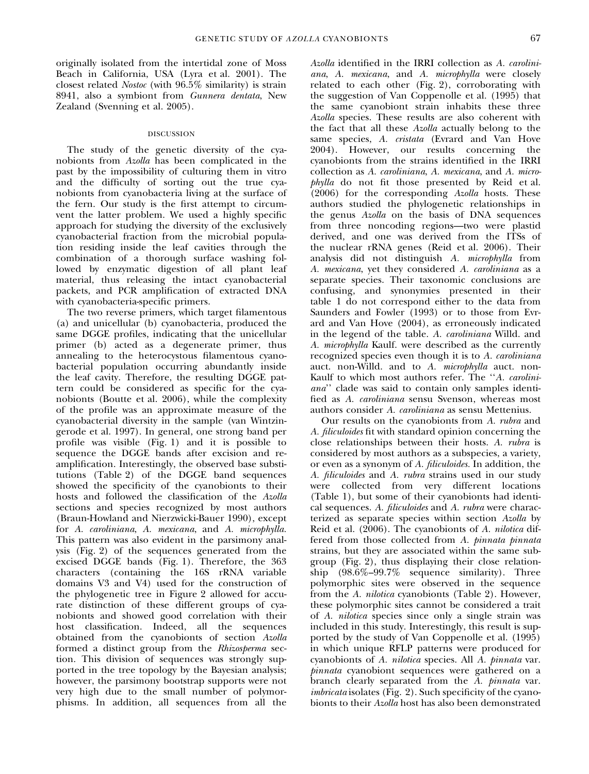originally isolated from the intertidal zone of Moss Beach in California, USA (Lyra et al. 2001). The closest related Nostoc (with 96.5% similarity) is strain 8941, also a symbiont from Gunnera dentata, New Zealand (Svenning et al. 2005).

#### DISCUSSION

The study of the genetic diversity of the cyanobionts from Azolla has been complicated in the past by the impossibility of culturing them in vitro and the difficulty of sorting out the true cyanobionts from cyanobacteria living at the surface of the fern. Our study is the first attempt to circumvent the latter problem. We used a highly specific approach for studying the diversity of the exclusively cyanobacterial fraction from the microbial population residing inside the leaf cavities through the combination of a thorough surface washing followed by enzymatic digestion of all plant leaf material, thus releasing the intact cyanobacterial packets, and PCR amplification of extracted DNA with cyanobacteria-specific primers.

The two reverse primers, which target filamentous (a) and unicellular (b) cyanobacteria, produced the same DGGE profiles, indicating that the unicellular primer (b) acted as a degenerate primer, thus annealing to the heterocystous filamentous cyanobacterial population occurring abundantly inside the leaf cavity. Therefore, the resulting DGGE pattern could be considered as specific for the cyanobionts (Boutte et al. 2006), while the complexity of the profile was an approximate measure of the cyanobacterial diversity in the sample (van Wintzingerode et al. 1997). In general, one strong band per profile was visible (Fig. 1) and it is possible to sequence the DGGE bands after excision and reamplification. Interestingly, the observed base substitutions (Table 2) of the DGGE band sequences showed the specificity of the cyanobionts to their hosts and followed the classification of the Azolla sections and species recognized by most authors (Braun-Howland and Nierzwicki-Bauer 1990), except for A. caroliniana, A. mexicana, and A. microphylla. This pattern was also evident in the parsimony analysis (Fig. 2) of the sequences generated from the excised DGGE bands (Fig. 1). Therefore, the 363 characters (containing the 16S rRNA variable domains V3 and V4) used for the construction of the phylogenetic tree in Figure 2 allowed for accurate distinction of these different groups of cyanobionts and showed good correlation with their host classification. Indeed, all the sequences obtained from the cyanobionts of section Azolla formed a distinct group from the Rhizosperma section. This division of sequences was strongly supported in the tree topology by the Bayesian analysis; however, the parsimony bootstrap supports were not very high due to the small number of polymorphisms. In addition, all sequences from all the

Azolla identified in the IRRI collection as A. caroliniana, A. mexicana, and A. microphylla were closely related to each other (Fig. 2), corroborating with the suggestion of Van Coppenolle et al. (1995) that the same cyanobiont strain inhabits these three Azolla species. These results are also coherent with the fact that all these Azolla actually belong to the same species, A. cristata (Evrard and Van Hove 2004). However, our results concerning the cyanobionts from the strains identified in the IRRI collection as A. caroliniana, A. mexicana, and A. microphylla do not fit those presented by Reid et al. (2006) for the corresponding Azolla hosts. These authors studied the phylogenetic relationships in the genus Azolla on the basis of DNA sequences from three noncoding regions—two were plastid derived, and one was derived from the ITSs of the nuclear rRNA genes (Reid et al. 2006). Their analysis did not distinguish A. microphylla from A. mexicana, yet they considered A. caroliniana as a separate species. Their taxonomic conclusions are confusing, and synonymies presented in their table 1 do not correspond either to the data from Saunders and Fowler (1993) or to those from Evrard and Van Hove (2004), as erroneously indicated in the legend of the table. A. caroliniana Willd. and A. microphylla Kaulf. were described as the currently recognized species even though it is to A. caroliniana auct. non-Willd. and to A. microphylla auct. non-Kaulf to which most authors refer. The ''A. caroliniana'' clade was said to contain only samples identified as A. caroliniana sensu Svenson, whereas most authors consider A. caroliniana as sensu Mettenius.

Our results on the cyanobionts from A. rubra and A. filiculoides fit with standard opinion concerning the close relationships between their hosts. A. rubra is considered by most authors as a subspecies, a variety, or even as a synonym of A. filiculoides. In addition, the A. filiculoides and A. rubra strains used in our study were collected from very different locations (Table 1), but some of their cyanobionts had identical sequences. A. filiculoides and A. rubra were characterized as separate species within section Azolla by Reid et al. (2006). The cyanobionts of A. nilotica differed from those collected from A. pinnata pinnata strains, but they are associated within the same subgroup (Fig. 2), thus displaying their close relationship (98.6%–99.7% sequence similarity). Three polymorphic sites were observed in the sequence from the A. nilotica cyanobionts (Table 2). However, these polymorphic sites cannot be considered a trait of A. nilotica species since only a single strain was included in this study. Interestingly, this result is supported by the study of Van Coppenolle et al. (1995) in which unique RFLP patterns were produced for cyanobionts of A. nilotica species. All A. pinnata var. pinnata cyanobiont sequences were gathered on a branch clearly separated from the A. pinnata var. imbricata isolates (Fig. 2). Such specificity of the cyanobionts to their Azolla host has also been demonstrated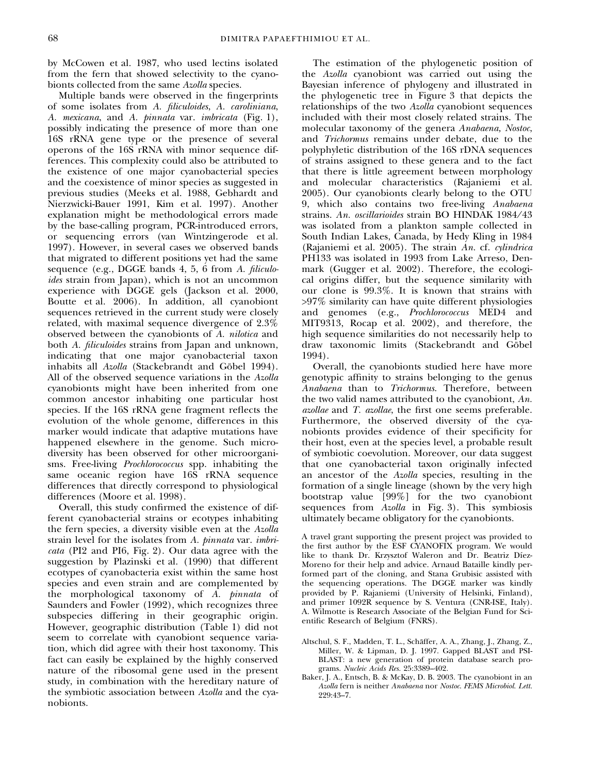by McCowen et al. 1987, who used lectins isolated from the fern that showed selectivity to the cyanobionts collected from the same Azolla species.

Multiple bands were observed in the fingerprints of some isolates from A. filiculoides, A. caroliniana, A. mexicana, and A. pinnata var. imbricata (Fig. 1), possibly indicating the presence of more than one 16S rRNA gene type or the presence of several operons of the 16S rRNA with minor sequence differences. This complexity could also be attributed to the existence of one major cyanobacterial species and the coexistence of minor species as suggested in previous studies (Meeks et al. 1988, Gebhardt and Nierzwicki-Bauer 1991, Kim et al. 1997). Another explanation might be methodological errors made by the base-calling program, PCR-introduced errors, or sequencing errors (van Wintzingerode et al. 1997). However, in several cases we observed bands that migrated to different positions yet had the same sequence (e.g., DGGE bands 4, 5, 6 from A. filiculoides strain from Japan), which is not an uncommon experience with DGGE gels (Jackson et al. 2000, Boutte et al. 2006). In addition, all cyanobiont sequences retrieved in the current study were closely related, with maximal sequence divergence of 2.3% observed between the cyanobionts of A. nilotica and both A. *filiculoides* strains from Japan and unknown, indicating that one major cyanobacterial taxon inhabits all Azolla (Stackebrandt and Göbel 1994). All of the observed sequence variations in the Azolla cyanobionts might have been inherited from one common ancestor inhabiting one particular host species. If the 16S rRNA gene fragment reflects the evolution of the whole genome, differences in this marker would indicate that adaptive mutations have happened elsewhere in the genome. Such microdiversity has been observed for other microorganisms. Free-living Prochlorococcus spp. inhabiting the same oceanic region have 16S rRNA sequence differences that directly correspond to physiological differences (Moore et al. 1998).

Overall, this study confirmed the existence of different cyanobacterial strains or ecotypes inhabiting the fern species, a diversity visible even at the Azolla strain level for the isolates from A. pinnata var. imbricata (PI2 and PI6, Fig. 2). Our data agree with the suggestion by Plazinski et al. (1990) that different ecotypes of cyanobacteria exist within the same host species and even strain and are complemented by the morphological taxonomy of A. pinnata of Saunders and Fowler (1992), which recognizes three subspecies differing in their geographic origin. However, geographic distribution (Table 1) did not seem to correlate with cyanobiont sequence variation, which did agree with their host taxonomy. This fact can easily be explained by the highly conserved nature of the ribosomal gene used in the present study, in combination with the hereditary nature of the symbiotic association between Azolla and the cyanobionts.

The estimation of the phylogenetic position of the Azolla cyanobiont was carried out using the Bayesian inference of phylogeny and illustrated in the phylogenetic tree in Figure 3 that depicts the relationships of the two Azolla cyanobiont sequences included with their most closely related strains. The molecular taxonomy of the genera Anabaena, Nostoc, and Trichormus remains under debate, due to the polyphyletic distribution of the 16S rDNA sequences of strains assigned to these genera and to the fact that there is little agreement between morphology and molecular characteristics (Rajaniemi et al. 2005). Our cyanobionts clearly belong to the OTU 9, which also contains two free-living Anabaena strains. An. oscillarioides strain BO HINDAK 1984/43 was isolated from a plankton sample collected in South Indian Lakes, Canada, by Hedy Kling in 1984 (Rajaniemi et al. 2005). The strain An. cf. cylindrica PH133 was isolated in 1993 from Lake Arreso, Denmark (Gugger et al. 2002). Therefore, the ecological origins differ, but the sequence similarity with our clone is 99.3%. It is known that strains with >97% similarity can have quite different physiologies and genomes (e.g., Prochlorococcus MED4 and MIT9313, Rocap et al. 2002), and therefore, the high sequence similarities do not necessarily help to draw taxonomic limits (Stackebrandt and Göbel 1994).

Overall, the cyanobionts studied here have more genotypic affinity to strains belonging to the genus Anabaena than to Trichormus. Therefore, between the two valid names attributed to the cyanobiont, An. azollae and T. azollae, the first one seems preferable. Furthermore, the observed diversity of the cyanobionts provides evidence of their specificity for their host, even at the species level, a probable result of symbiotic coevolution. Moreover, our data suggest that one cyanobacterial taxon originally infected an ancestor of the Azolla species, resulting in the formation of a single lineage (shown by the very high bootstrap value [99%] for the two cyanobiont sequences from Azolla in Fig. 3). This symbiosis ultimately became obligatory for the cyanobionts.

A travel grant supporting the present project was provided to the first author by the ESF CYANOFIX program. We would like to thank Dr. Krzysztof Waleron and Dr. Beatriz Díez-Moreno for their help and advice. Arnaud Bataille kindly performed part of the cloning, and Stana Grubisic assisted with the sequencing operations. The DGGE marker was kindly provided by P. Rajaniemi (University of Helsinki, Finland), and primer 1092R sequence by S. Ventura (CNR-ISE, Italy). A. Wilmotte is Research Associate of the Belgian Fund for Scientific Research of Belgium (FNRS).

- Altschul, S. F., Madden, T. L., Schäffer, A. A., Zhang, J., Zhang, Z., Miller, W. & Lipman, D. J. 1997. Gapped BLAST and PSI-BLAST: a new generation of protein database search programs. Nucleic Acids Res. 25:3389–402.
- Baker, J. A., Entsch, B. & McKay, D. B. 2003. The cyanobiont in an Azolla fern is neither Anabaena nor Nostoc. FEMS Microbiol. Lett. 229:43–7.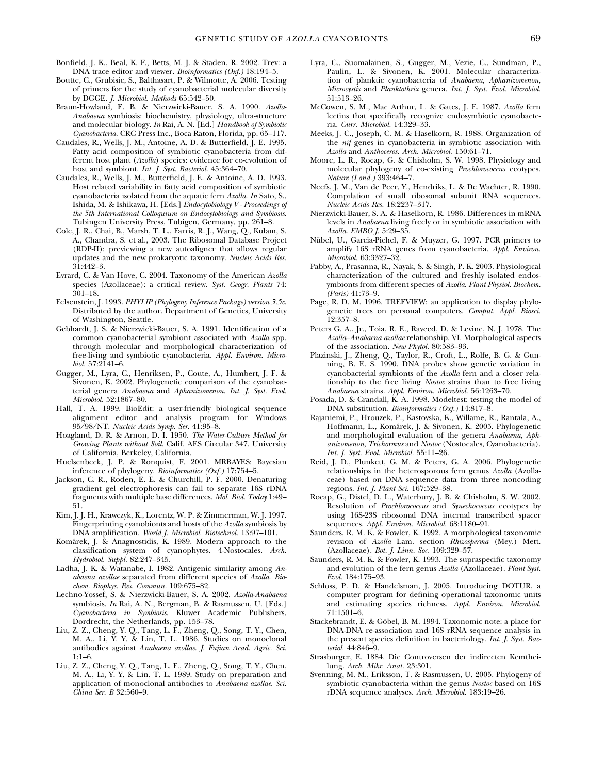- Bonfield, J. K., Beal, K. F., Betts, M. J. & Staden, R. 2002. Trev: a DNA trace editor and viewer. Bioinformatics (Oxf.) 18:194-5.
- Boutte, C., Grubisic, S., Balthasart, P. & Wilmotte, A. 2006. Testing of primers for the study of cyanobacterial molecular diversity by DGGE. J. Microbiol. Methods 65:542–50.
- Braun-Howland, E. B. & Nierzwicki-Bauer, S. A. 1990. Azolla-Anabaena symbiosis: biochemistry, physiology, ultra-structure and molecular biology. In Rai, A. N. [Ed.] Handbook of Symbiotic Cyanobacteria. CRC Press Inc., Boca Raton, Florida, pp. 65–117.
- Caudales, R., Wells, J. M., Antoine, A. D. & Butterfield, J. E. 1995. Fatty acid composition of symbiotic cyanobacteria from different host plant (Azolla) species: evidence for co-evolution of host and symbiont. Int. J. Syst. Bacteriol. 45:364-70.
- Caudales, R., Wells, J. M., Butterfield, J. E. & Antoine, A. D. 1993. Host related variability in fatty acid composition of symbiotic cyanobacteria isolated from the aquatic fern Azolla. In Sato, S., Ishida, M. & Ishikawa, H. [Eds.] Endocytobiology V - Proceedings of the 5th International Colloquium on Endocytobiology and Symbiosis. Tubingen University Press, Tübigen, Germany, pp. 261-8.
- Cole, J. R., Chai, B., Marsh, T. L., Farris, R. J., Wang, Q., Kulam, S. A., Chandra, S. et al., 2003. The Ribosomal Database Project (RDP-II): previewing a new autoaligner that allows regular updates and the new prokaryotic taxonomy. Nucleic Acids Res. 31:442–3.
- Evrard, C. & Van Hove, C. 2004. Taxonomy of the American Azolla species (Azollaceae): a critical review. Syst. Geogr. Plants 74: 301–18.
- Felsenstein, J. 1993. PHYLIP (Phylogeny Inference Package) version 3.5c. Distributed by the author. Department of Genetics, University of Washington, Seattle.
- Gebhardt, J. S. & Nierzwicki-Bauer, S. A. 1991. Identification of a common cyanobacterial symbiont associated with Azolla spp. through molecular and morphological characterization of free-living and symbiotic cyanobacteria. Appl. Environ. Microbiol. 57:2141–6.
- Gugger, M., Lyra, C., Henriksen, P., Coute, A., Humbert, J. F. & Sivonen, K. 2002. Phylogenetic comparison of the cyanobacterial genera Anabaena and Aphanizomenon. Int. J. Syst. Evol. Microbiol. 52:1867–80.
- Hall, T. A. 1999. BioEdit: a user-friendly biological sequence alignment editor and analysis program for Windows 95 ⁄ 98 ⁄ NT. Nucleic Acids Symp. Ser. 41:95–8.
- Hoagland, D. R. & Arnon, D. I. 1950. The Water-Culture Method for Growing Plants without Soil. Calif. AES Circular 347. University of California, Berkeley, California.
- Huelsenbeck, J. P. & Ronquist, F. 2001. MRBAYES: Bayesian inference of phylogeny. Bioinformatics (Oxf.) 17:754–5.
- Jackson, C. R., Roden, E. E. & Churchill, P. F. 2000. Denaturing gradient gel electrophoresis can fail to separate 16S rDNA fragments with multiple base differences. Mol. Biol. Today 1:49– 51.
- Kim, J. J. H., Krawczyk, K., Lorentz, W. P. & Zimmerman, W. J. 1997. Fingerprinting cyanobionts and hosts of the Azolla symbiosis by DNA amplification. World J. Microbiol. Biotechnol. 13:97–101.
- Koma´rek, J. & Anagnostidis, K. 1989. Modern approach to the classification system of cyanophytes. 4-Nostocales. Arch. Hydrobiol. Suppl. 82:247–345.
- Ladha, J. K. & Watanabe, I. 1982. Antigenic similarity among Anabaena azollae separated from different species of Azolla. Biochem. Biophys. Res. Commun. 109:675–82.
- Lechno-Yossef, S. & Nierzwicki-Bauer, S. A. 2002. Azolla-Anabaena symbiosis. In Rai, A. N., Bergman, B. & Rasmussen, U. [Eds.] Cyanobacteria in Symbiosis. Kluwer Academic Publishers, Dordrecht, the Netherlands, pp. 153–78.
- Liu, Z. Z., Cheng, Y. Q., Tang, L. F., Zheng, Q., Song, T. Y., Chen, M. A., Li, Y. Y. & Lin, T. L. 1986. Studies on monoclonal antibodies against Anabaena azollae. J. Fujian Acad. Agric. Sci. 1:1–6.
- Liu, Z. Z., Cheng, Y. Q., Tang, L. F., Zheng, Q., Song, T. Y., Chen, M. A., Li, Y. Y. & Lin, T. L. 1989. Study on preparation and application of monoclonal antibodies to Anabaena azollae. Sci. China Ser. B 32:560–9.
- Lyra, C., Suomalainen, S., Gugger, M., Vezie, C., Sundman, P., Paulin, L. & Sivonen, K. 2001. Molecular characterization of planktic cyanobacteria of Anabaena, Aphanizomenon, Microcystis and Planktothrix genera. Int. J. Syst. Evol. Microbiol. 51:513–26.
- McCowen, S. M., Mac Arthur, L. & Gates, J. E. 1987. Azolla fern lectins that specifically recognize endosymbiotic cyanobacteria. Curr. Microbiol. 14:329–33.
- Meeks, J. C., Joseph, C. M. & Haselkorn, R. 1988. Organization of the nif genes in cyanobacteria in symbiotic association with Azolla and Anthoceros. Arch. Microbiol. 150:61–71.
- Moore, L. R., Rocap, G. & Chisholm, S. W. 1998. Physiology and molecular phylogeny of co-existing Prochlorococcus ecotypes. Nature (Lond.) 393:464–7.
- Neefs, J. M., Van de Peer, Y., Hendriks, L. & De Wachter, R. 1990. Compilation of small ribosomal subunit RNA sequences. Nucleic Acids Res. 18:2237–317.
- Nierzwicki-Bauer, S. A. & Haselkorn, R. 1986. Differences in mRNA levels in Anabaena living freely or in symbiotic association with Azolla. EMBO J. 5:29–35.
- Nübel, U., Garcia-Pichel, F. & Muyzer, G. 1997. PCR primers to amplify 16S rRNA genes from cyanobacteria. Appl. Environ. Microbiol. 63:3327–32.
- Pabby, A., Prasanna, R., Nayak, S. & Singh, P. K. 2003. Physiological characterization of the cultured and freshly isolated endosymbionts from different species of Azolla. Plant Physiol. Biochem. (Paris) 41:73–9.
- Page, R. D. M. 1996. TREEVIEW: an application to display phylogenetic trees on personal computers. Comput. Appl. Biosci. 12:357–8.
- Peters G. A., Jr., Toia, R. E., Raveed, D. & Levine, N. J. 1978. The Azolla–Anabaena azollae relationship. VI. Morphological aspects of the association. New Phytol. 80:583–93.
- Plazinski, J., Zheng, Q., Taylor, R., Croft, L., Rolfe, B. G. & Gunning, B. E. S. 1990. DNA probes show genetic variation in cyanobacterial symbionts of the Azolla fern and a closer relationship to the free living Nostoc strains than to free living Anabaena strains. Appl. Environ. Microbiol. 56:1263–70.
- Posada, D. & Crandall, K. A. 1998. Modeltest: testing the model of DNA substitution. Bioinformatics (Oxf.) 14:817–8.
- Rajaniemi, P., Hrouzek, P., Kastovska, K., Willame, R., Rantala, A., Hoffmann, L., Koma´rek, J. & Sivonen, K. 2005. Phylogenetic and morphological evaluation of the genera Anabaena, Aphanizomenon, Trichormus and Nostoc (Nostocales, Cyanobacteria). Int. J. Syst. Evol. Microbiol. 55:11–26.
- Reid, J. D., Plunkett, G. M. & Peters, G. A. 2006. Phylogenetic relationships in the heterosporous fern genus Azolla (Azollaceae) based on DNA sequence data from three noncoding regions. Int. J. Plant Sci. 167:529–38.
- Rocap, G., Distel, D. L., Waterbury, J. B. & Chisholm, S. W. 2002. Resolution of Prochlorococcus and Synechococcus ecotypes by using 16S-23S ribosomal DNA internal transcribed spacer sequences. Appl. Environ. Microbiol. 68:1180–91.
- Saunders, R. M. K. & Fowler, K. 1992. A morphological taxonomic revision of Azolla Lam. section Rhizosperma (Mey.) Mett. (Azollaceae). Bot. J. Linn. Soc. 109:329–57.
- Saunders, R. M. K. & Fowler, K. 1993. The supraspecific taxonomy and evolution of the fern genus Azolla (Azollaceae). Plant Syst. Evol. 184:175–93.
- Schloss, P. D. & Handelsman, J. 2005. Introducing DOTUR, a computer program for defining operational taxonomic units and estimating species richness. Appl. Environ. Microbiol. 71:1501–6.
- Stackebrandt, E. & Göbel, B. M. 1994. Taxonomic note: a place for DNA-DNA re-association and 16S rRNA sequence analysis in the present species definition in bacteriology. Int. J. Syst. Bacteriol. 44:846–9.
- Strasburger, E. 1884. Die Controversen der indirecten Kemtheilung. Arch. Mikr. Anat. 23:301.
- Svenning, M. M., Eriksson, T. & Rasmussen, U. 2005. Phylogeny of symbiotic cyanobacteria within the genus Nostoc based on 16S rDNA sequence analyses. Arch. Microbiol. 183:19–26.